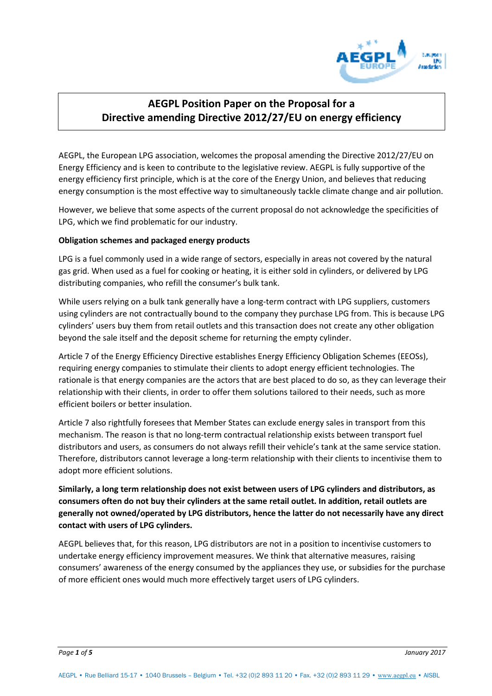

# **AEGPL Position Paper on the Proposal for a Directive amending Directive 2012/27/EU on energy efficiency**

AEGPL, the European LPG association, welcomes the proposal amending the Directive 2012/27/EU on Energy Efficiency and is keen to contribute to the legislative review. AEGPL is fully supportive of the energy efficiency first principle, which is at the core of the Energy Union, and believes that reducing energy consumption is the most effective way to simultaneously tackle climate change and air pollution.

However, we believe that some aspects of the current proposal do not acknowledge the specificities of LPG, which we find problematic for our industry.

# **Obligation schemes and packaged energy products**

LPG is a fuel commonly used in a wide range of sectors, especially in areas not covered by the natural gas grid. When used as a fuel for cooking or heating, it is either sold in cylinders, or delivered by LPG distributing companies, who refill the consumer's bulk tank.

While users relying on a bulk tank generally have a long-term contract with LPG suppliers, customers using cylinders are not contractually bound to the company they purchase LPG from. This is because LPG cylinders' users buy them from retail outlets and this transaction does not create any other obligation beyond the sale itself and the deposit scheme for returning the empty cylinder.

Article 7 of the Energy Efficiency Directive establishes Energy Efficiency Obligation Schemes (EEOSs), requiring energy companies to stimulate their clients to adopt energy efficient technologies. The rationale is that energy companies are the actors that are best placed to do so, as they can leverage their relationship with their clients, in order to offer them solutions tailored to their needs, such as more efficient boilers or better insulation.

Article 7 also rightfully foresees that Member States can exclude energy sales in transport from this mechanism. The reason is that no long-term contractual relationship exists between transport fuel distributors and users, as consumers do not always refill their vehicle's tank at the same service station. Therefore, distributors cannot leverage a long-term relationship with their clients to incentivise them to adopt more efficient solutions.

**Similarly, a long term relationship does not exist between users of LPG cylinders and distributors, as consumers often do not buy their cylinders at the same retail outlet. In addition, retail outlets are generally not owned/operated by LPG distributors, hence the latter do not necessarily have any direct contact with users of LPG cylinders.** 

AEGPL believes that, for this reason, LPG distributors are not in a position to incentivise customers to undertake energy efficiency improvement measures. We think that alternative measures, raising consumers' awareness of the energy consumed by the appliances they use, or subsidies for the purchase of more efficient ones would much more effectively target users of LPG cylinders.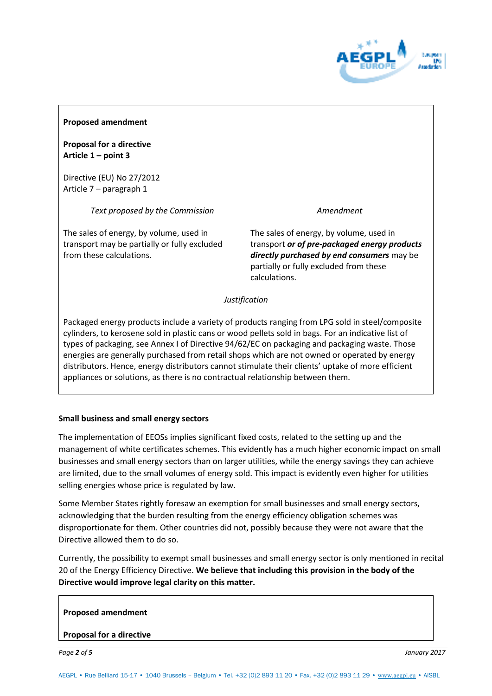

## **Proposed amendment**

**Proposal for a directive Article 1 – point 3** 

Directive (EU) No 27/2012 Article 7 – paragraph 1

*Text proposed by the Commission* 

The sales of energy, by volume, used in transport may be partially or fully excluded from these calculations.

## *Amendment*

The sales of energy, by volume, used in transport *or of pre-packaged energy products directly purchased by end consumers* may be partially or fully excluded from these calculations.

*Justification* 

Packaged energy products include a variety of products ranging from LPG sold in steel/composite cylinders, to kerosene sold in plastic cans or wood pellets sold in bags. For an indicative list of types of packaging, see Annex I of Directive 94/62/EC on packaging and packaging waste. Those energies are generally purchased from retail shops which are not owned or operated by energy distributors. Hence, energy distributors cannot stimulate their clients' uptake of more efficient appliances or solutions, as there is no contractual relationship between them*.* 

# **Small business and small energy sectors**

The implementation of EEOSs implies significant fixed costs, related to the setting up and the management of white certificates schemes. This evidently has a much higher economic impact on small businesses and small energy sectors than on larger utilities, while the energy savings they can achieve are limited, due to the small volumes of energy sold. This impact is evidently even higher for utilities selling energies whose price is regulated by law.

Some Member States rightly foresaw an exemption for small businesses and small energy sectors, acknowledging that the burden resulting from the energy efficiency obligation schemes was disproportionate for them. Other countries did not, possibly because they were not aware that the Directive allowed them to do so.

Currently, the possibility to exempt small businesses and small energy sector is only mentioned in recital 20 of the Energy Efficiency Directive. **We believe that including this provision in the body of the Directive would improve legal clarity on this matter.**

## **Proposed amendment**

## **Proposal for a directive**

*Page 2 of 5 January 2017*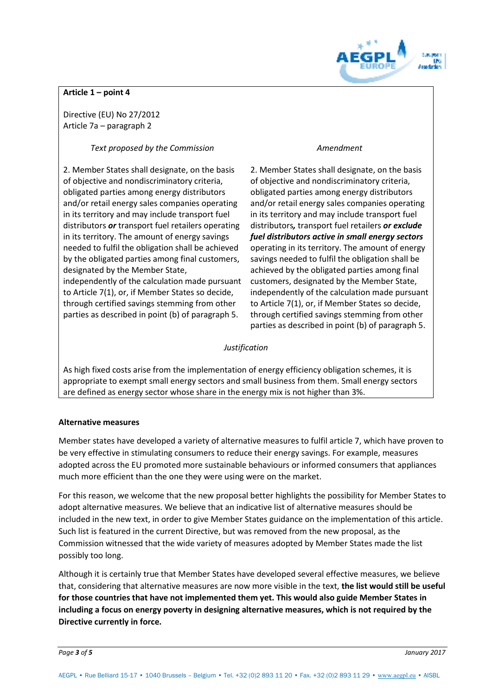

# **Article 1 – point 4**

Directive (EU) No 27/2012 Article 7a – paragraph 2

*Text proposed by the Commission* 

2. Member States shall designate, on the basis of objective and nondiscriminatory criteria, obligated parties among energy distributors and/or retail energy sales companies operating in its territory and may include transport fuel distributors *or* transport fuel retailers operating in its territory. The amount of energy savings needed to fulfil the obligation shall be achieved by the obligated parties among final customers, designated by the Member State, independently of the calculation made pursuant to Article 7(1), or, if Member States so decide, through certified savings stemming from other parties as described in point (b) of paragraph 5.

## *Amendment*

2. Member States shall designate, on the basis of objective and nondiscriminatory criteria, obligated parties among energy distributors and/or retail energy sales companies operating in its territory and may include transport fuel distributors*,* transport fuel retailers *or exclude fuel distributors active in small energy sectors*  operating in its territory. The amount of energy savings needed to fulfil the obligation shall be achieved by the obligated parties among final customers, designated by the Member State, independently of the calculation made pursuant to Article 7(1), or, if Member States so decide, through certified savings stemming from other parties as described in point (b) of paragraph 5.

## *Justification*

As high fixed costs arise from the implementation of energy efficiency obligation schemes, it is appropriate to exempt small energy sectors and small business from them. Small energy sectors are defined as energy sector whose share in the energy mix is not higher than 3%.

# **Alternative measures**

Member states have developed a variety of alternative measures to fulfil article 7, which have proven to be very effective in stimulating consumers to reduce their energy savings. For example, measures adopted across the EU promoted more sustainable behaviours or informed consumers that appliances much more efficient than the one they were using were on the market.

For this reason, we welcome that the new proposal better highlights the possibility for Member States to adopt alternative measures. We believe that an indicative list of alternative measures should be included in the new text, in order to give Member States guidance on the implementation of this article. Such list is featured in the current Directive, but was removed from the new proposal, as the Commission witnessed that the wide variety of measures adopted by Member States made the list possibly too long.

Although it is certainly true that Member States have developed several effective measures, we believe that, considering that alternative measures are now more visible in the text, **the list would still be useful for those countries that have not implemented them yet. This would also guide Member States in including a focus on energy poverty in designing alternative measures, which is not required by the Directive currently in force.** 

*Page 3 of 5 January 2017*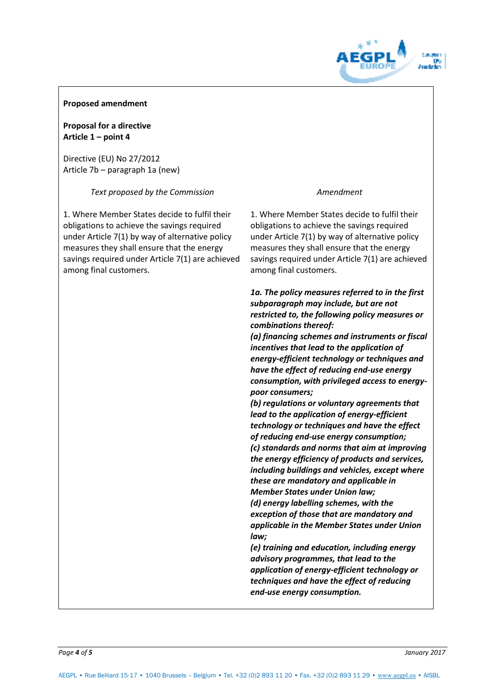

## **Proposed amendment**

**Proposal for a directive Article 1 – point 4** 

Directive (EU) No 27/2012 Article 7b – paragraph 1a (new)

*Text proposed by the Commission* 

1. Where Member States decide to fulfil their obligations to achieve the savings required under Article 7(1) by way of alternative policy measures they shall ensure that the energy savings required under Article 7(1) are achieved among final customers.

## *Amendment*

1. Where Member States decide to fulfil their obligations to achieve the savings required under Article 7(1) by way of alternative policy measures they shall ensure that the energy savings required under Article 7(1) are achieved among final customers.

*1a. The policy measures referred to in the first subparagraph may include, but are not restricted to, the following policy measures or combinations thereof:* 

*(a) financing schemes and instruments or fiscal incentives that lead to the application of energy-efficient technology or techniques and have the effect of reducing end-use energy consumption, with privileged access to energypoor consumers;* 

*(b) regulations or voluntary agreements that lead to the application of energy-efficient technology or techniques and have the effect of reducing end-use energy consumption; (c) standards and norms that aim at improving the energy efficiency of products and services, including buildings and vehicles, except where these are mandatory and applicable in Member States under Union law;* 

*(d) energy labelling schemes, with the exception of those that are mandatory and applicable in the Member States under Union law;* 

*(e) training and education, including energy advisory programmes, that lead to the application of energy-efficient technology or techniques and have the effect of reducing end-use energy consumption.*